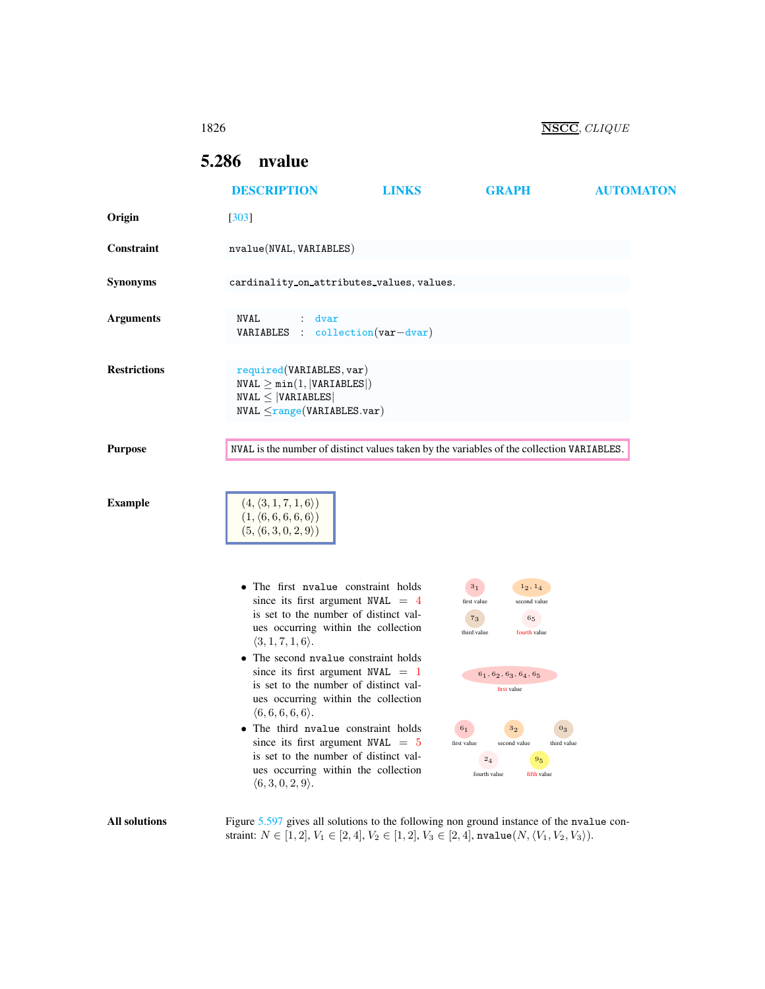<span id="page-0-0"></span>

|                      | 1826                                                                                                                       |                                                                                                                                                                                                                                                                                                                         |                                                                                                                                                                                                                    | NSCC, CLIQUE     |
|----------------------|----------------------------------------------------------------------------------------------------------------------------|-------------------------------------------------------------------------------------------------------------------------------------------------------------------------------------------------------------------------------------------------------------------------------------------------------------------------|--------------------------------------------------------------------------------------------------------------------------------------------------------------------------------------------------------------------|------------------|
|                      | nvalue<br>5.286                                                                                                            |                                                                                                                                                                                                                                                                                                                         |                                                                                                                                                                                                                    |                  |
|                      | <b>DESCRIPTION</b>                                                                                                         | <b>LINKS</b>                                                                                                                                                                                                                                                                                                            | <b>GRAPH</b>                                                                                                                                                                                                       | <b>AUTOMATON</b> |
| Origin               | $[303]$                                                                                                                    |                                                                                                                                                                                                                                                                                                                         |                                                                                                                                                                                                                    |                  |
| Constraint           | nvalue(NVAL, VARIABLES)                                                                                                    |                                                                                                                                                                                                                                                                                                                         |                                                                                                                                                                                                                    |                  |
| <b>Synonyms</b>      |                                                                                                                            | cardinality_on_attributes_values, values.                                                                                                                                                                                                                                                                               |                                                                                                                                                                                                                    |                  |
| <b>Arguments</b>     | NVAL<br>dvar                                                                                                               | <b>VARIABLES</b> : collection $(var-dvar)$                                                                                                                                                                                                                                                                              |                                                                                                                                                                                                                    |                  |
| <b>Restrictions</b>  | required(VARIABLES, var)<br>$NVAL \geq min(1,  VARIABLES )$<br>$NVAL \leq  VARIABLES $<br>$NVAL \leq range(VARIABLES.var)$ |                                                                                                                                                                                                                                                                                                                         |                                                                                                                                                                                                                    |                  |
| <b>Purpose</b>       |                                                                                                                            |                                                                                                                                                                                                                                                                                                                         | NVAL is the number of distinct values taken by the variables of the collection VARIABLES.                                                                                                                          |                  |
| <b>Example</b>       | $(4, \langle 3, 1, 7, 1, 6 \rangle)$<br>$(1, \langle 6, 6, 6, 6, 6 \rangle)$<br>$(5, \langle 6, 3, 0, 2, 9 \rangle)$       |                                                                                                                                                                                                                                                                                                                         |                                                                                                                                                                                                                    |                  |
|                      | $\langle 3, 1, 7, 1, 6 \rangle.$<br>$\langle 6,6,6,6,6 \rangle$ .                                                          | • The first nyalue constraint holds<br>since its first argument NVAL $= 4$<br>is set to the number of distinct val-<br>ues occurring within the collection<br>The second nvalue constraint holds<br>since its first argument NVAL $=$ 1<br>is set to the number of distinct val-<br>ues occurring within the collection | 3 <sub>1</sub><br>$1_2, 1_4$<br>second value<br>first value<br>$\mathbf{^{7}3}$<br>$\mathbf{6_{5}}$<br>third value<br>fourth value<br>$\bf{6}_{1}, \bf{6}_{2}, \bf{6}_{3}, \bf{6}_{4}, \bf{6}_{5}$<br>first value  |                  |
|                      | $\langle 6,3,0,2,9 \rangle$ .                                                                                              | • The third nyalue constraint holds<br>since its first argument NVAL $= 5$<br>is set to the number of distinct val-<br>ues occurring within the collection                                                                                                                                                              | 6 <sub>1</sub><br>3 <sub>2</sub><br>$0_3$<br>third value<br>first value<br>second value<br>9 <sub>5</sub><br>2 <sub>4</sub><br>fourth value<br>fifth value                                                         |                  |
| <b>All solutions</b> |                                                                                                                            |                                                                                                                                                                                                                                                                                                                         | Figure 5.597 gives all solutions to the following non ground instance of the nvalue con-<br>straint: $N \in [1, 2], V_1 \in [2, 4], V_2 \in [1, 2], V_3 \in [2, 4],$ nvalue $(N, \langle V_1, V_2, V_3 \rangle)$ . |                  |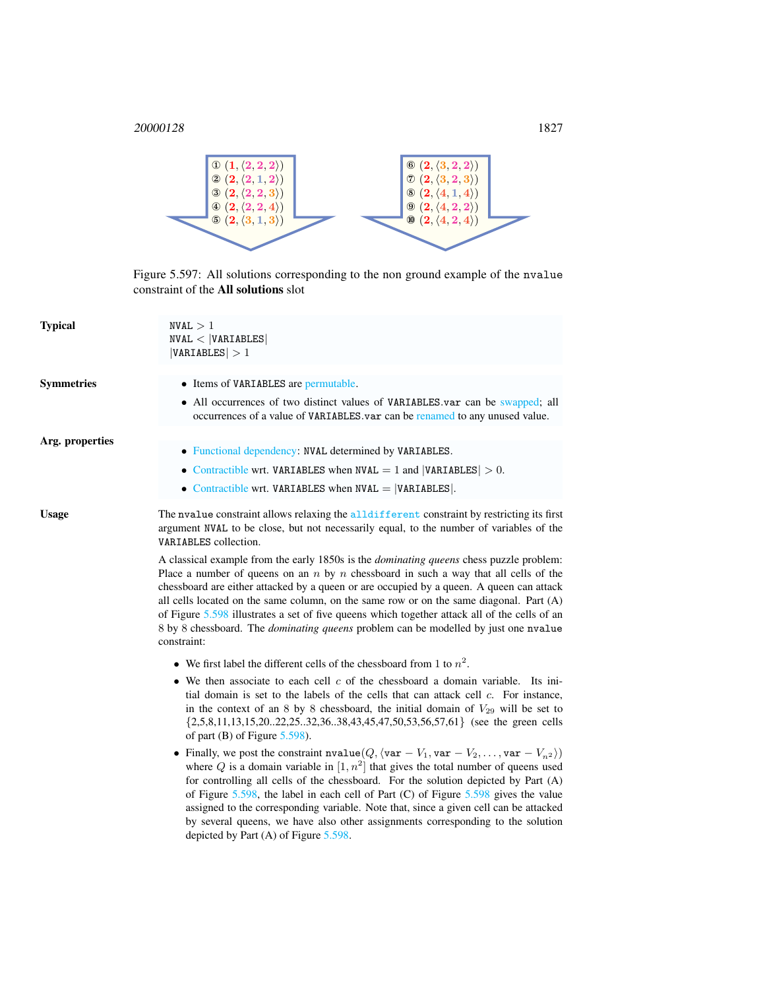

<span id="page-1-0"></span>Figure 5.597: All solutions corresponding to the non ground example of the nvalue constraint of the All solutions slot

| <b>Typical</b>    | NVAL > 1<br>NVAL <  VARIABLES <br> VARIABLES  > 1                                                                                                                                                                                                                                                                                                                                                                                                                                                                                                                                                                                                                                                                                                                                                                 |
|-------------------|-------------------------------------------------------------------------------------------------------------------------------------------------------------------------------------------------------------------------------------------------------------------------------------------------------------------------------------------------------------------------------------------------------------------------------------------------------------------------------------------------------------------------------------------------------------------------------------------------------------------------------------------------------------------------------------------------------------------------------------------------------------------------------------------------------------------|
| <b>Symmetries</b> | • Items of VARIABLES are permutable.<br>• All occurrences of two distinct values of VARIABLES var can be swapped; all<br>occurrences of a value of VARIABLES.var can be renamed to any unused value.                                                                                                                                                                                                                                                                                                                                                                                                                                                                                                                                                                                                              |
| Arg. properties   | • Functional dependency: NVAL determined by VARIABLES.<br>• Contractible wrt. VARIABLES when NVAL $= 1$ and  VARIABLES  $> 0$ .<br>• Contractible wrt. VARIABLES when $NVAL =  VARIABLES $ .                                                                                                                                                                                                                                                                                                                                                                                                                                                                                                                                                                                                                      |
| <b>Usage</b>      | The nyalue constraint allows relaxing the alldifferent constraint by restricting its first<br>argument NVAL to be close, but not necessarily equal, to the number of variables of the<br>VARIABLES collection.<br>A classical example from the early 1850s is the <i>dominating queens</i> chess puzzle problem:<br>Place a number of queens on an $n$ by $n$ chessboard in such a way that all cells of the<br>chessboard are either attacked by a queen or are occupied by a queen. A queen can attack<br>all cells located on the same column, on the same row or on the same diagonal. Part (A)<br>of Figure 5.598 illustrates a set of five queens which together attack all of the cells of an<br>8 by 8 chessboard. The <i>dominating queens</i> problem can be modelled by just one nvalue<br>constraint: |
|                   | • We first label the different cells of the chessboard from 1 to $n^2$ .<br>$\bullet$ We then associate to each cell $c$ of the chessboard a domain variable. Its ini-<br>tial domain is set to the labels of the cells that can attack cell $c$ . For instance,<br>in the context of an 8 by 8 chessboard, the initial domain of $V_{29}$ will be set to<br>$\{2,5,8,11,13,15,2022,2532,3638,43,45,47,50,53,56,57,61\}$ (see the green cells<br>of part $(B)$ of Figure 5.598).                                                                                                                                                                                                                                                                                                                                  |

• Finally, we post the constraint nvalue $(Q, \langle var - V_1, var - V_2, \ldots, var - V_{n^2} \rangle)$ where Q is a domain variable in  $[1, n^2]$  that gives the total number of queens used for controlling all cells of the chessboard. For the solution depicted by Part (A) of Figure [5.598,](#page-2-0) the label in each cell of Part (C) of Figure [5.598](#page-2-0) gives the value assigned to the corresponding variable. Note that, since a given cell can be attacked by several queens, we have also other assignments corresponding to the solution depicted by Part (A) of Figure [5.598.](#page-2-0)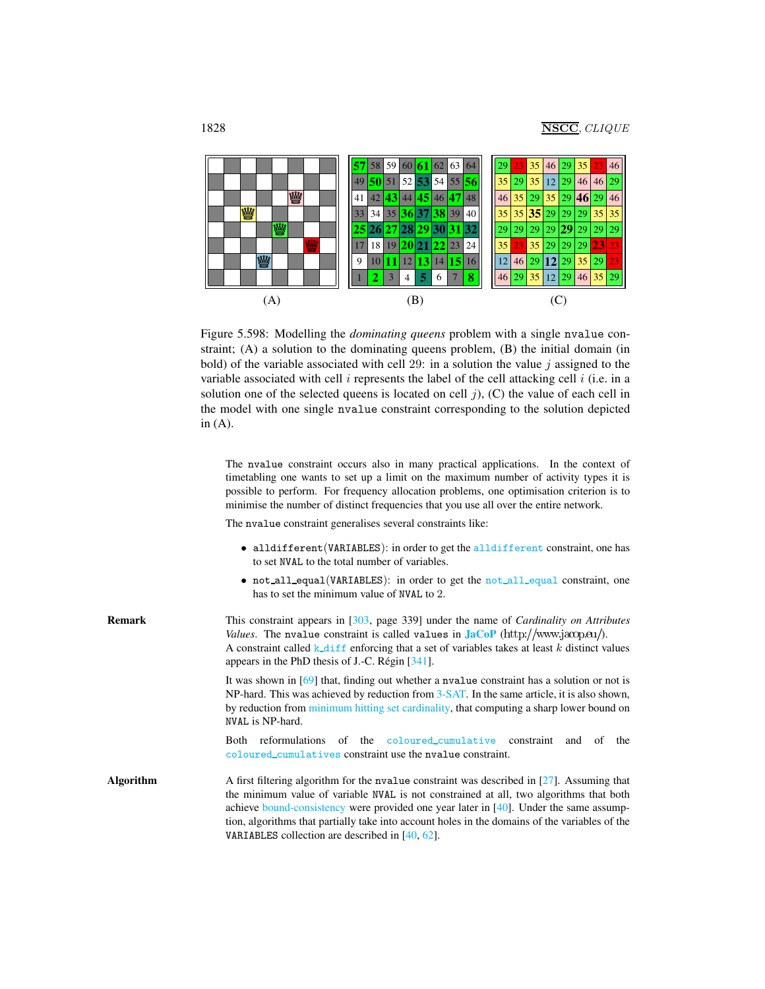

<span id="page-2-0"></span>Figure 5.598: Modelling the *dominating queens* problem with a single nvalue constraint; (A) a solution to the dominating queens problem, (B) the initial domain (in bold) of the variable associated with cell 29: in a solution the value  $j$  assigned to the variable associated with cell  $i$  represents the label of the cell attacking cell  $i$  (i.e. in a solution one of the selected queens is located on cell  $j$ ), (C) the value of each cell in the model with one single nvalue constraint corresponding to the solution depicted in (A).

The nvalue constraint occurs also in many practical applications. In the context of timetabling one wants to set up a limit on the maximum number of activity types it is possible to perform. For frequency allocation problems, one optimisation criterion is to minimise the number of distinct frequencies that you use all over the entire network.

The nvalue constraint generalises several constraints like:

- alldifferent(VARIABLES): in order to get the alldifferent constraint, one has to set NVAL to the total number of variables.
- not all\_equal(VARIABLES): in order to get the not\_all\_equal constraint, one has to set the minimum value of NVAL to 2.

| <b>Remark</b>    | This constraint appears in [303, page 339] under the name of <i>Cardinality on Attributes</i><br>Values. The nvalue constraint is called values in $JacOP$ (http://www.jacop.eu/).<br>A constraint called k_diff enforcing that a set of variables takes at least k distinct values<br>appears in the PhD thesis of J.-C. Régin $[341]$ .                                                                                                      |  |  |  |  |  |
|------------------|------------------------------------------------------------------------------------------------------------------------------------------------------------------------------------------------------------------------------------------------------------------------------------------------------------------------------------------------------------------------------------------------------------------------------------------------|--|--|--|--|--|
|                  | It was shown in $[69]$ that, finding out whether a nualue constraint has a solution or not is<br>NP-hard. This was achieved by reduction from 3-SAT. In the same article, it is also shown,<br>by reduction from minimum hitting set cardinality, that computing a sharp lower bound on<br>NVAL is NP-hard.                                                                                                                                    |  |  |  |  |  |
|                  | reformulations of the coloured_cumulative constraint<br>and of the<br>Both<br>coloured_cumulatives constraint use the nyalue constraint.                                                                                                                                                                                                                                                                                                       |  |  |  |  |  |
| <b>Algorithm</b> | A first filtering algorithm for the negative constraint was described in $[27]$ . Assuming that<br>the minimum value of variable NVAL is not constrained at all, two algorithms that both<br>achieve bound-consistency were provided one year later in $[40]$ . Under the same assump-<br>tion, algorithms that partially take into account holes in the domains of the variables of the<br>VARIABLES collection are described in $[40, 62]$ . |  |  |  |  |  |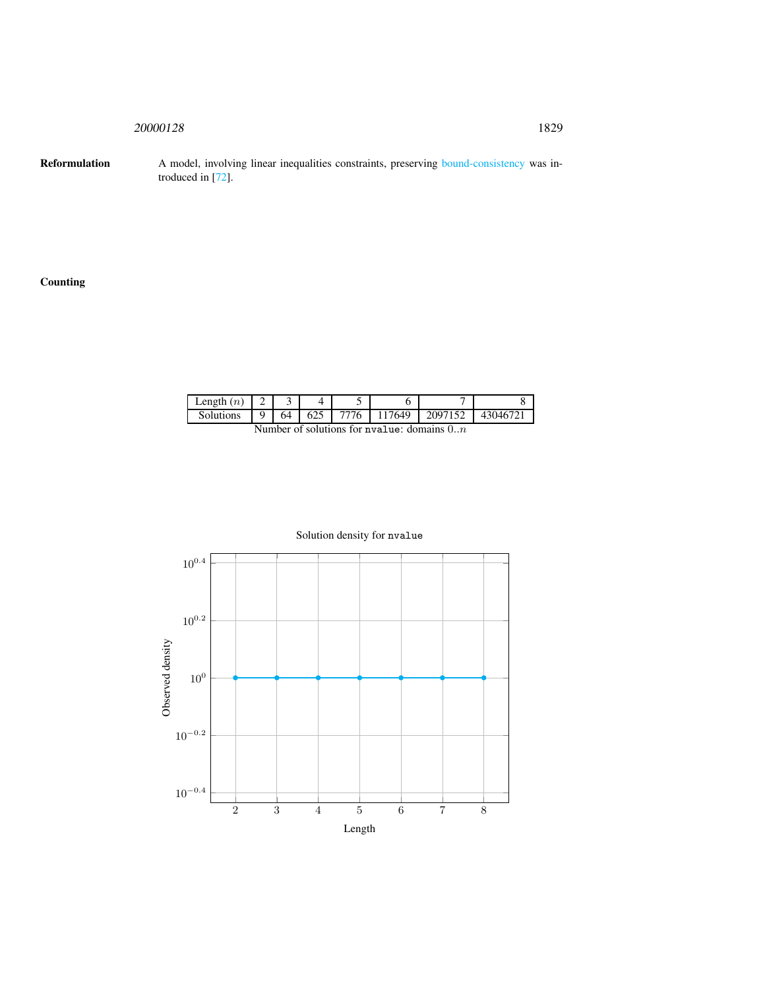<sup>20000128</sup> 1829

Reformulation A model, involving linear inequalities constraints, preserving bound-consistency was introduced in [72].

# Counting

| Length $(n)$ |    |     |      |                                              |         |          |
|--------------|----|-----|------|----------------------------------------------|---------|----------|
| Solutions    | 64 | 625 | 7776 | 117649                                       | 2097152 | 43046721 |
|              |    |     |      | Number of solutions for nyalue: domains $0n$ |         |          |



# Solution density for nvalue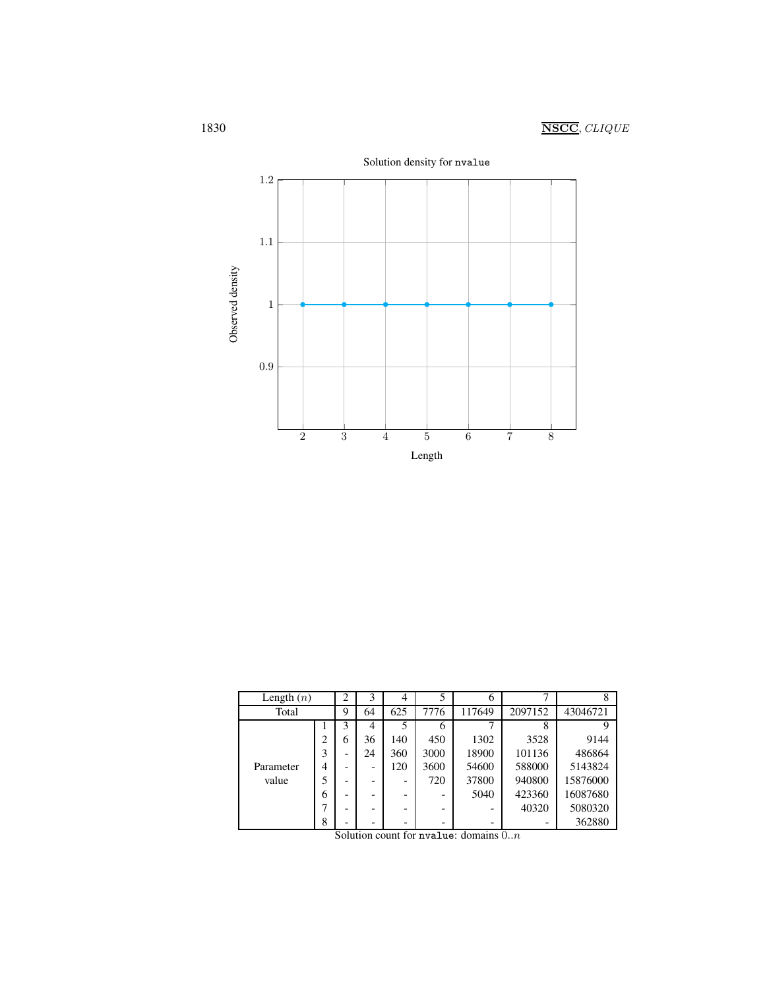

| Length $(n)$ |                | $\overline{2}$           | 3  | $\overline{4}$ | 5    | 6      |         | 8        |
|--------------|----------------|--------------------------|----|----------------|------|--------|---------|----------|
| Total        |                | 9                        | 64 | 625            | 7776 | 117649 | 2097152 | 43046721 |
|              |                | 3                        | 4  | 5              | 6    |        | 8       |          |
|              | $\overline{c}$ | 6                        | 36 | 140            | 450  | 1302   | 3528    | 9144     |
|              | 3              |                          | 24 | 360            | 3000 | 18900  | 101136  | 486864   |
| Parameter    | 4              |                          |    | 120            | 3600 | 54600  | 588000  | 5143824  |
| value        | 5              | $\overline{\phantom{0}}$ |    |                | 720  | 37800  | 940800  | 15876000 |
|              | 6              |                          |    |                |      | 5040   | 423360  | 16087680 |
|              |                |                          |    |                |      |        | 40320   | 5080320  |
|              | 8              |                          |    |                |      |        |         | 362880   |

Solution count for nvalue: domains  $0..n$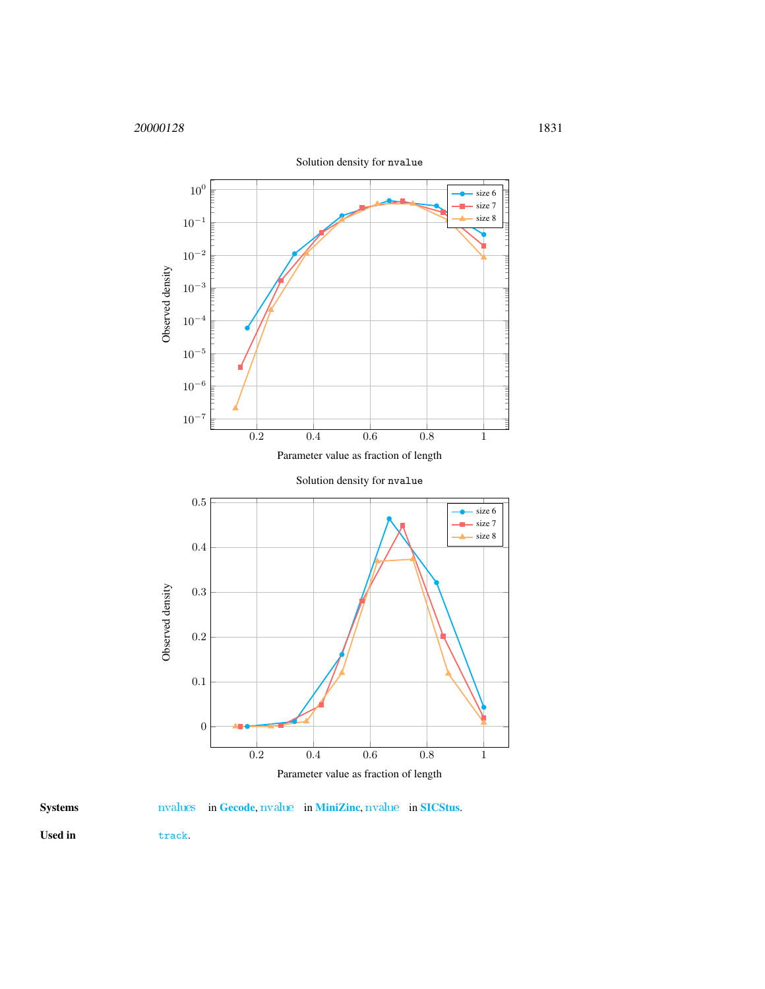

Systems [nvalues](http://www.gecode.org/doc/3.7.0/reference/group__TaskModelIntNValues.html) in [Gecode](http://www.gecode.org/), [nvalue](http://www.sics.se/sicstus/docs/latest4/html/sicstus.html/Combinatorial-Constraints.html) in [MiniZinc](http://www.g12.cs.mu.oz.au/minizinc/), nvalue in [SICStus](http://www.sics.se/sicstus/).

<span id="page-5-0"></span>

Used in track.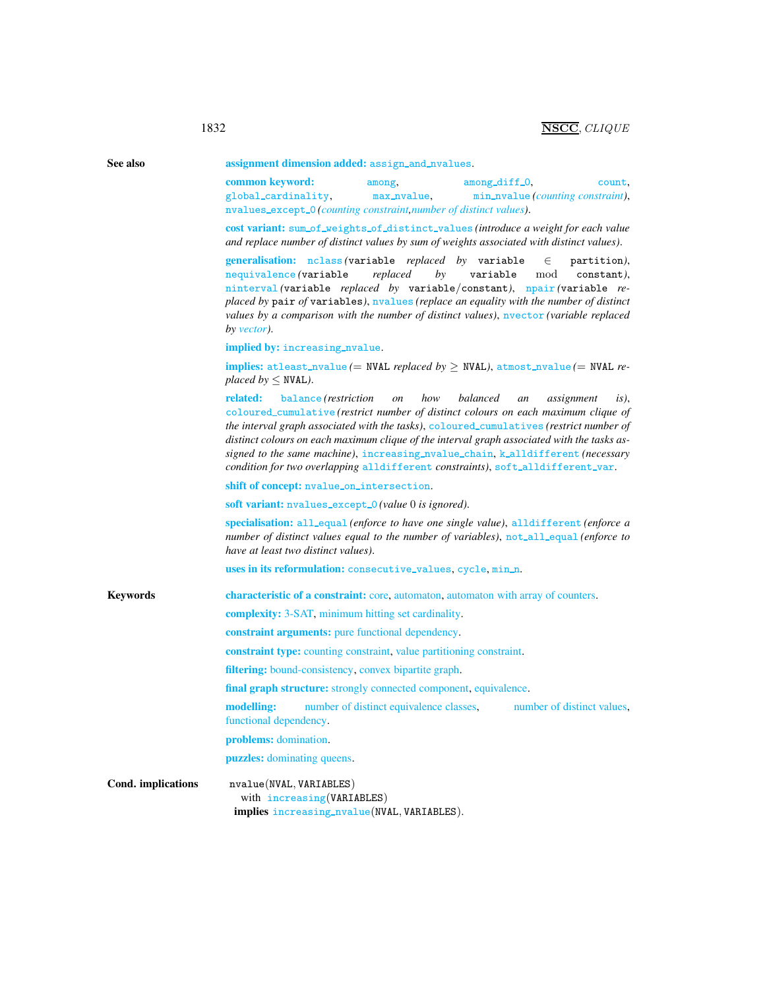| See also           | assignment dimension added: assign_and_nvalues.                                                                                                                                                                                                                                                                                                                                                                                                          |                       |                                                                                                                                                                                                                                                                                                                                                                                                                                                                                    |         |  |  |  |
|--------------------|----------------------------------------------------------------------------------------------------------------------------------------------------------------------------------------------------------------------------------------------------------------------------------------------------------------------------------------------------------------------------------------------------------------------------------------------------------|-----------------------|------------------------------------------------------------------------------------------------------------------------------------------------------------------------------------------------------------------------------------------------------------------------------------------------------------------------------------------------------------------------------------------------------------------------------------------------------------------------------------|---------|--|--|--|
|                    | common keyword:<br>global_cardinality,<br>nvalues_except_0(counting constraint, number of distinct values).                                                                                                                                                                                                                                                                                                                                              | among,<br>max_nvalue, | among_diff_0.<br>count,<br>min_nvalue(counting constraint),                                                                                                                                                                                                                                                                                                                                                                                                                        |         |  |  |  |
|                    | cost variant: sum_of_weights_of_distinct_values (introduce a weight for each value<br>and replace number of distinct values by sum of weights associated with distinct values).                                                                                                                                                                                                                                                                          |                       |                                                                                                                                                                                                                                                                                                                                                                                                                                                                                    |         |  |  |  |
|                    | generalisation: nclass (variable replaced by variable<br>$\in$<br>partition),<br>replaced<br>nequivalence (variable<br>by<br>variable<br>mod<br>constant).<br>ninterval (variable replaced by variable/constant), npair (variable re-<br>placed by pair of variables), nyalues (replace an equality with the number of distinct<br>values by a comparison with the number of distinct values), $n \cdot \text{vector}$ (variable replaced<br>by vector). |                       |                                                                                                                                                                                                                                                                                                                                                                                                                                                                                    |         |  |  |  |
|                    | implied by: increasing_nvalue.                                                                                                                                                                                                                                                                                                                                                                                                                           |                       |                                                                                                                                                                                                                                                                                                                                                                                                                                                                                    |         |  |  |  |
|                    | <b>implies:</b> atleast_nvalue (= NVAL <i>replaced by <math>\geq</math> NVAL</i> ), atmost_nvalue (= NVAL <i>re</i> -<br><i>placed by</i> $\leq$ NVAL).                                                                                                                                                                                                                                                                                                  |                       |                                                                                                                                                                                                                                                                                                                                                                                                                                                                                    |         |  |  |  |
|                    | related:<br>balance ( <i>restriction</i>                                                                                                                                                                                                                                                                                                                                                                                                                 | how<br><i>on</i>      | balanced<br>assignment<br>an<br>coloured_cumulative (restrict number of distinct colours on each maximum clique of<br>the interval graph associated with the tasks), coloured_cumulatives (restrict number of<br>distinct colours on each maximum clique of the interval graph associated with the tasks as-<br>signed to the same machine), increasing_nvalue_chain, k_alldifferent (necessary<br>condition for two overlapping alldifferent constraints), soft_alldifferent_var. | $is)$ . |  |  |  |
|                    | shift of concept: nvalue_on_intersection.                                                                                                                                                                                                                                                                                                                                                                                                                |                       |                                                                                                                                                                                                                                                                                                                                                                                                                                                                                    |         |  |  |  |
|                    | soft variant: nvalues_except_0(value 0 is ignored).                                                                                                                                                                                                                                                                                                                                                                                                      |                       |                                                                                                                                                                                                                                                                                                                                                                                                                                                                                    |         |  |  |  |
|                    | specialisation: all_equal (enforce to have one single value), alldifferent (enforce a<br>number of distinct values equal to the number of variables), not all equal (enforce to<br>have at least two distinct values).                                                                                                                                                                                                                                   |                       |                                                                                                                                                                                                                                                                                                                                                                                                                                                                                    |         |  |  |  |
|                    | uses in its reformulation: consecutive_values, cycle, min_n.                                                                                                                                                                                                                                                                                                                                                                                             |                       |                                                                                                                                                                                                                                                                                                                                                                                                                                                                                    |         |  |  |  |
| <b>Keywords</b>    | <b>characteristic of a constraint:</b> core, automaton, automaton with array of counters.                                                                                                                                                                                                                                                                                                                                                                |                       |                                                                                                                                                                                                                                                                                                                                                                                                                                                                                    |         |  |  |  |
|                    | <b>complexity:</b> 3-SAT, minimum hitting set cardinality.                                                                                                                                                                                                                                                                                                                                                                                               |                       |                                                                                                                                                                                                                                                                                                                                                                                                                                                                                    |         |  |  |  |
|                    | constraint arguments: pure functional dependency.                                                                                                                                                                                                                                                                                                                                                                                                        |                       |                                                                                                                                                                                                                                                                                                                                                                                                                                                                                    |         |  |  |  |
|                    | <b>constraint type:</b> counting constraint, value partitioning constraint.                                                                                                                                                                                                                                                                                                                                                                              |                       |                                                                                                                                                                                                                                                                                                                                                                                                                                                                                    |         |  |  |  |
|                    | filtering: bound-consistency, convex bipartite graph.                                                                                                                                                                                                                                                                                                                                                                                                    |                       |                                                                                                                                                                                                                                                                                                                                                                                                                                                                                    |         |  |  |  |
|                    | <b>final graph structure:</b> strongly connected component, equivalence.                                                                                                                                                                                                                                                                                                                                                                                 |                       |                                                                                                                                                                                                                                                                                                                                                                                                                                                                                    |         |  |  |  |
|                    | functional dependency.                                                                                                                                                                                                                                                                                                                                                                                                                                   |                       | <b>modelling:</b> number of distinct equivalence classes, number of distinct values,                                                                                                                                                                                                                                                                                                                                                                                               |         |  |  |  |
|                    | problems: domination.                                                                                                                                                                                                                                                                                                                                                                                                                                    |                       |                                                                                                                                                                                                                                                                                                                                                                                                                                                                                    |         |  |  |  |
|                    | puzzles: dominating queens.                                                                                                                                                                                                                                                                                                                                                                                                                              |                       |                                                                                                                                                                                                                                                                                                                                                                                                                                                                                    |         |  |  |  |
| Cond. implications | nvalue(NVAL, VARIABLES)<br>with increasing (VARIABLES)<br>implies increasing_nvalue(NVAL, VARIABLES).                                                                                                                                                                                                                                                                                                                                                    |                       |                                                                                                                                                                                                                                                                                                                                                                                                                                                                                    |         |  |  |  |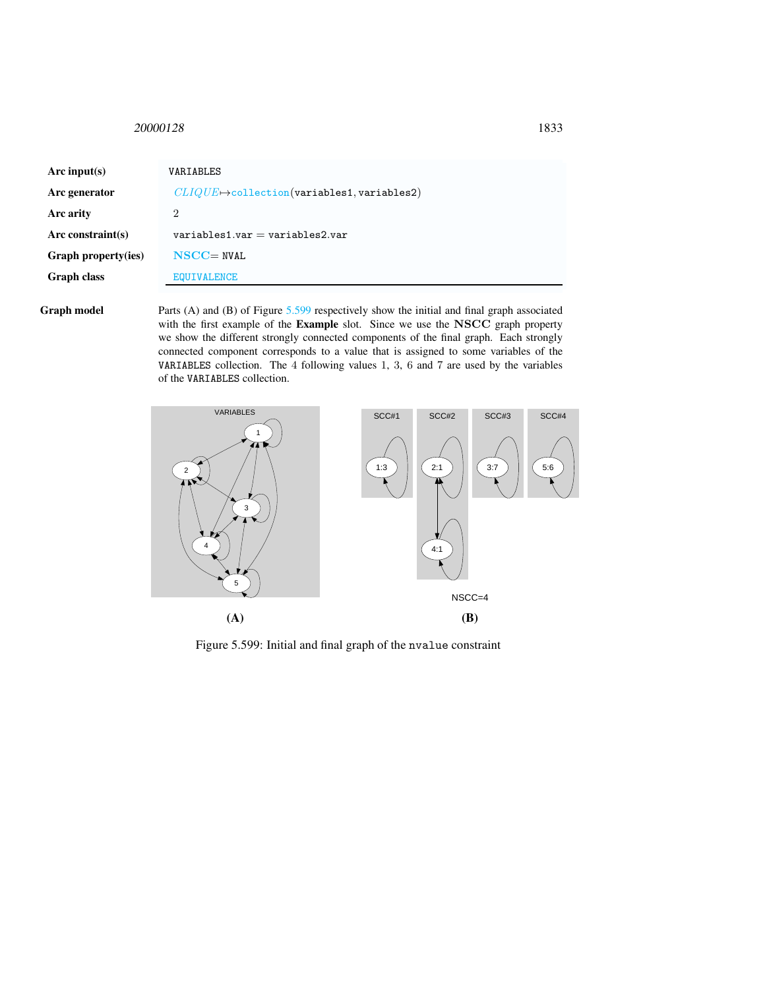<span id="page-7-0"></span><sup>20000128</sup> 1833

| Arc input(s)               | VARIABLES                                               |
|----------------------------|---------------------------------------------------------|
| Arc generator              | $CLIQUE \rightarrow$ collection(variables1, variables2) |
| Arc arity                  | 2                                                       |
| Arc constraint $(s)$       | $variable$ s1.var = variables2.var                      |
| <b>Graph property(ies)</b> | $NSCC = NVAL$                                           |
| <b>Graph class</b>         | <b>EQUIVALENCE</b>                                      |

Graph model Parts (A) and (B) of Figure [5.599](#page-7-1) respectively show the initial and final graph associated with the first example of the Example slot. Since we use the NSCC graph property we show the different strongly connected components of the final graph. Each strongly connected component corresponds to a value that is assigned to some variables of the VARIABLES collection. The 4 following values 1, 3, 6 and 7 are used by the variables of the VARIABLES collection.



<span id="page-7-1"></span>Figure 5.599: Initial and final graph of the nvalue constraint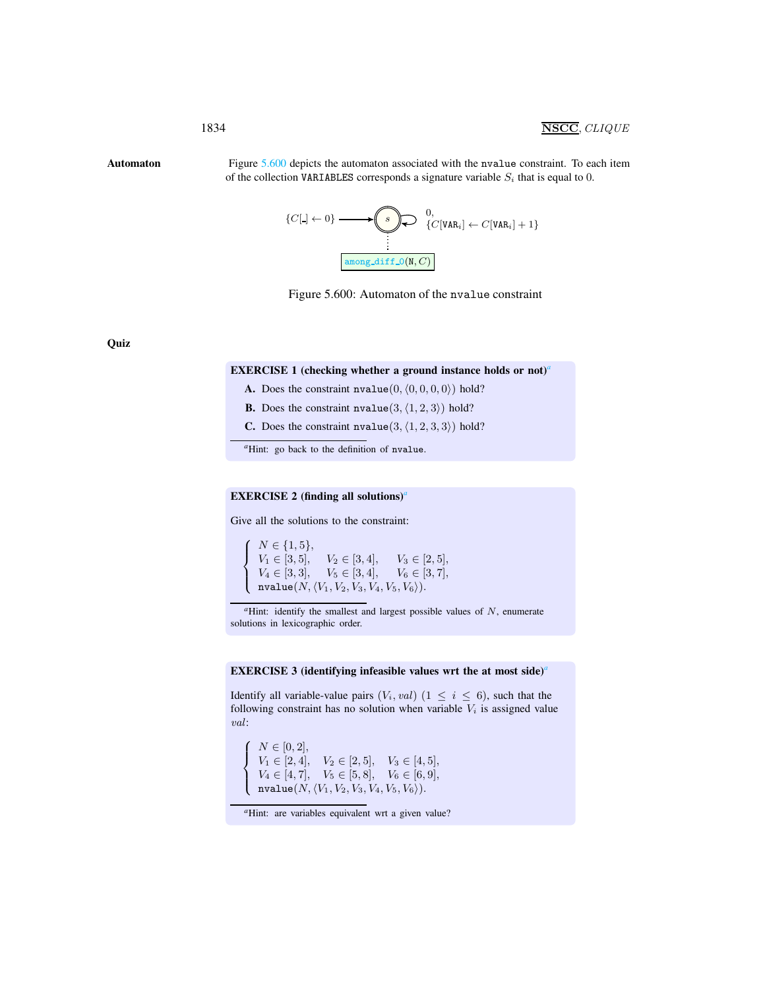Automaton Figure [5.600](#page-8-1) depicts the automaton associated with the nvalue constraint. To each item of the collection VARIABLES corresponds a signature variable  $S_i$  that is equal to 0.

<span id="page-8-0"></span>
$$
\{C[\mathbf{J} \leftarrow 0\} \longrightarrow \bigotimes_{i=1}^{n} \bigotimes_{i=1}^{n} C[VAR_{i}] \leftarrow C[VAR_{i}] + 1\}
$$
  
 
$$
\boxed{\text{among\_diff\_O(N, C)}}
$$

<span id="page-8-1"></span>

**Quiz** 

### EXERCISE 1 (checking whether [a](#page-8-2) ground instance holds or not)<sup>*a*</sup>

A. Does the constraint  $nvalue(0, (0, 0, 0, 0))$  hold?

**B.** Does the constraint  $nvalue(3, (1, 2, 3))$  hold?

**C.** Does the constraint  $nvalue(3, (1, 2, 3, 3))$  hold?

*<sup>a</sup>*Hint: go back to the definition of nvalue.

# <span id="page-8-2"></span>EXERCISE 2 (finding [a](#page-8-3)ll solutions)<sup>*a*</sup>

Give all the solutions to the constraint:

 $\sqrt{ }$  $\int$  $\mathbf{I}$  $N \in \{1, 5\},\$  $V_1 \in [3, 5], \quad V_2 \in [3, 4], \quad V_3 \in [2, 5],$  $V_4 \in [3, 3], \quad V_5 \in [3, 4], \quad V_6 \in [3, 7],$  $\mathtt{nvalue}(N,\langle V_1,V_2,V_3, V_4, V_5, V_6\rangle).$ 

*<sup>a</sup>*Hint: identify the smallest and largest possible values of N, enumerate solutions in lexicographic order.

#### EXERCISE 3 (identifying infe[a](#page-8-4)sible values wrt the at most side)<sup>*a*</sup>

Identify all variable-value pairs  $(V_i, val)$   $(1 \leq i \leq 6)$ , such that the following constraint has no solution when variable  $V_i$  is assigned value val:

 $\sqrt{ }$  $V_1 \in [2, 4], \quad V_2 \in [2, 5], \quad V_3 \in [4, 5],$  $\left(\begin{array}{c}\text{nvalue}(N,\langle V_1,V_2,V_3,V_4,V_5,V_6\rangle). \end{array}\right)$  $N \in [0, 2],$  $V_4 \in [4, 7], \quad V_5 \in [5, 8], \quad V_6 \in [6, 9],$ 

<span id="page-8-4"></span><span id="page-8-3"></span><sup>&</sup>lt;sup>*a*</sup>Hint: are variables equivalent wrt a given value?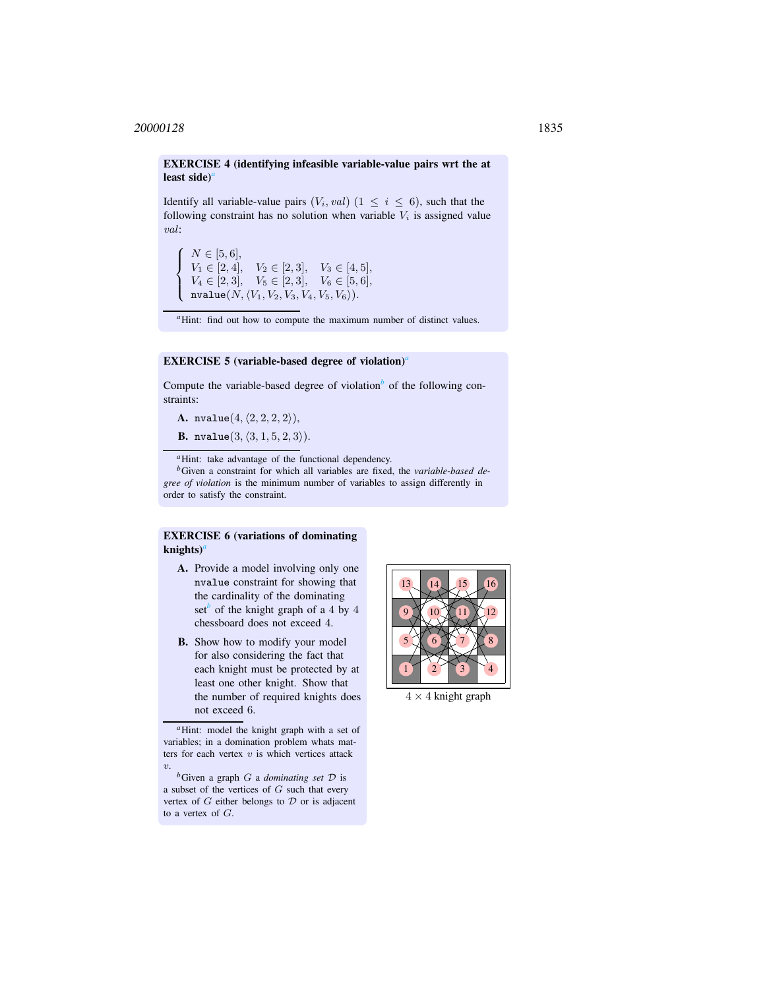EXERCISE 4 (identifying infeasible variable-value pairs wrt the at le[a](#page-9-0)st side<sup> $\alpha$ </sup>

Identify all variable-value pairs  $(V_i, val)$   $(1 \le i \le 6)$ , such that the following constraint has no solution when variable  $V_i$  is assigned value val:

 $\sqrt{ }$  $\int$  $\overline{\mathcal{L}}$  $N \in [5, 6],$  $V_1 \in [2, 4], \quad V_2 \in [2, 3], \quad V_3 \in [4, 5],$  $V_4 \in [2, 3], \quad V_5 \in [2, 3], \quad V_6 \in [5, 6],$  $\mathtt{nvalue}(N,\langle V_1,V_2,V_3, V_4, V_5, V_6\rangle).$ 

<sup>*a*</sup>Hint: find out how to compute the maximum number of distinct values.

#### EXERCISE 5 (v[a](#page-9-1)riable-based degree of violation)<sup>*a*</sup>

Compute the varia[b](#page-9-2)le-based degree of violation<sup> $b$ </sup> of the following constraints:

<span id="page-9-0"></span>A. nvalue $(4, (2, 2, 2, 2)$ ),

**B.** nvalue $(3, \langle 3, 1, 5, 2, 3 \rangle)$ .

*<sup>a</sup>*Hint: take advantage of the functional dependency.

*<sup>b</sup>*Given a constraint for which all variables are fixed, the *variable-based degree of violation* is the minimum number of variables to assign differently in order to satisfy the constraint.

# <span id="page-9-1"></span>EXERCISE 6 (variations of dominating knights)*[a](#page-9-3)*

- <span id="page-9-2"></span>A. Provide a model involving only one nvalue constraint for showing that the cardinality of the dominating set<sup>*[b](#page-9-4)*</sup> of the knight graph of a 4 by 4 chessboard does not exceed 4.
- B. Show how to modify your model for also considering the fact that each knight must be protected by at least one other knight. Show that the number of required knights does not exceed 6.



 $4 \times 4$  knight graph

*<sup>a</sup>*Hint: model the knight graph with a set of variables; in a domination problem whats matters for each vertex  $v$  is which vertices attack  $\upsilon$ .

<span id="page-9-4"></span><span id="page-9-3"></span>*<sup>b</sup>*Given a graph G a *dominating set* D is a subset of the vertices of  $G$  such that every vertex of  $G$  either belongs to  $D$  or is adjacent to a vertex of G.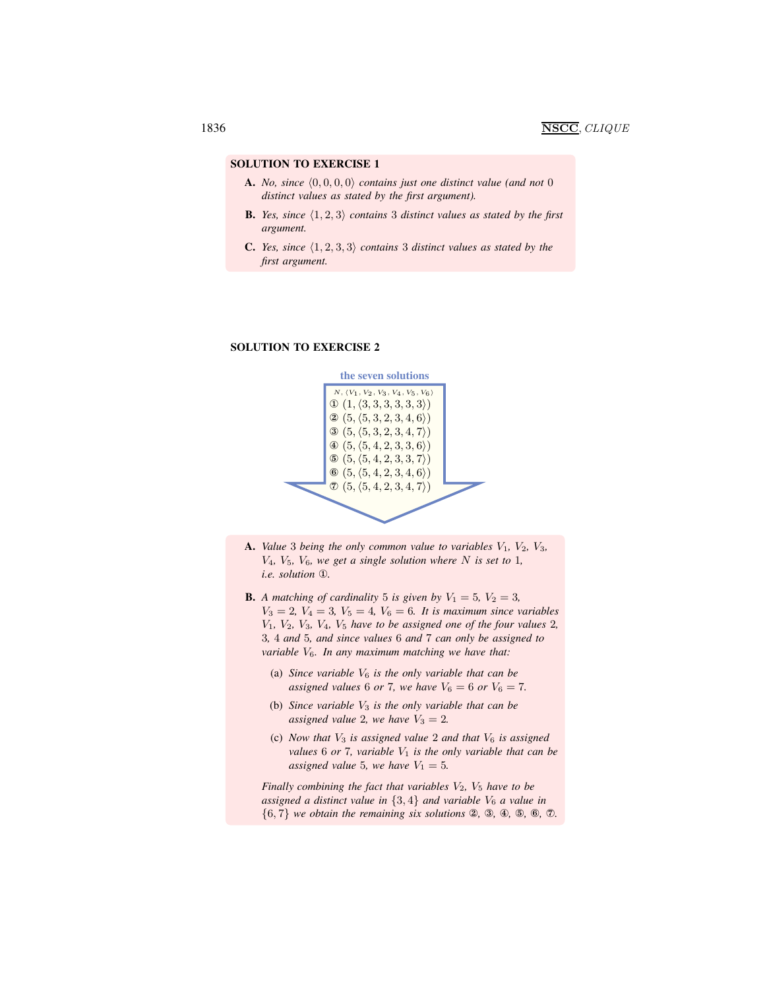- **A.** *No, since*  $\langle 0, 0, 0, 0 \rangle$  *contains just one distinct value (and not* 0) *distinct values as stated by the first argument).*
- **B.** *Yes, since*  $\langle 1, 2, 3 \rangle$  *contains* 3 *distinct values as stated by the first argument.*
- **C.** *Yes, since*  $\langle 1, 2, 3, 3 \rangle$  *contains* 3 *distinct values as stated by the first argument.*

#### SOLUTION TO EXERCISE 2



- A. *Value* 3 *being the only common value to variables*  $V_1$ ,  $V_2$ ,  $V_3$ ,  $V_4$ ,  $V_5$ ,  $V_6$ , we get a single solution where N is set to 1, *i.e. solution* ①*.*
- **B.** A matching of cardinality 5 is given by  $V_1 = 5$ ,  $V_2 = 3$ ,  $V_3 = 2, V_4 = 3, V_5 = 4, V_6 = 6$ . It is maximum since variables V1*,* V2*,* V3*,* V4*,* V<sup>5</sup> *have to be assigned one of the four values* 2*,* 3*,* 4 *and* 5*, and since values* 6 *and* 7 *can only be assigned to variable* V6*. In any maximum matching we have that:*
	- (a) *Since variable*  $V_6$  *is the only variable that can be assigned values* 6 *or* 7*, we have*  $V_6 = 6$  *or*  $V_6 = 7$ *.*
	- (b) *Since variable* V<sup>3</sup> *is the only variable that can be assigned value* 2*, we have*  $V_3 = 2$ *.*
	- (c) *Now that* V<sup>3</sup> *is assigned value* 2 *and that* V<sup>6</sup> *is assigned values* 6 *or* 7*, variable*  $V_1$  *is the only variable that can be assigned value* 5*, we have*  $V_1 = 5$ *.*

*Finally combining the fact that variables*  $V_2$ ,  $V_5$  *have to be assigned a distinct value in*  $\{3, 4\}$  *and variable*  $V_6$  *a value in* {6, 7} *we obtain the remaining six solutions* ②*,* ③*,* ④*,* ⑤*,* ⑥*,* ⑦*.*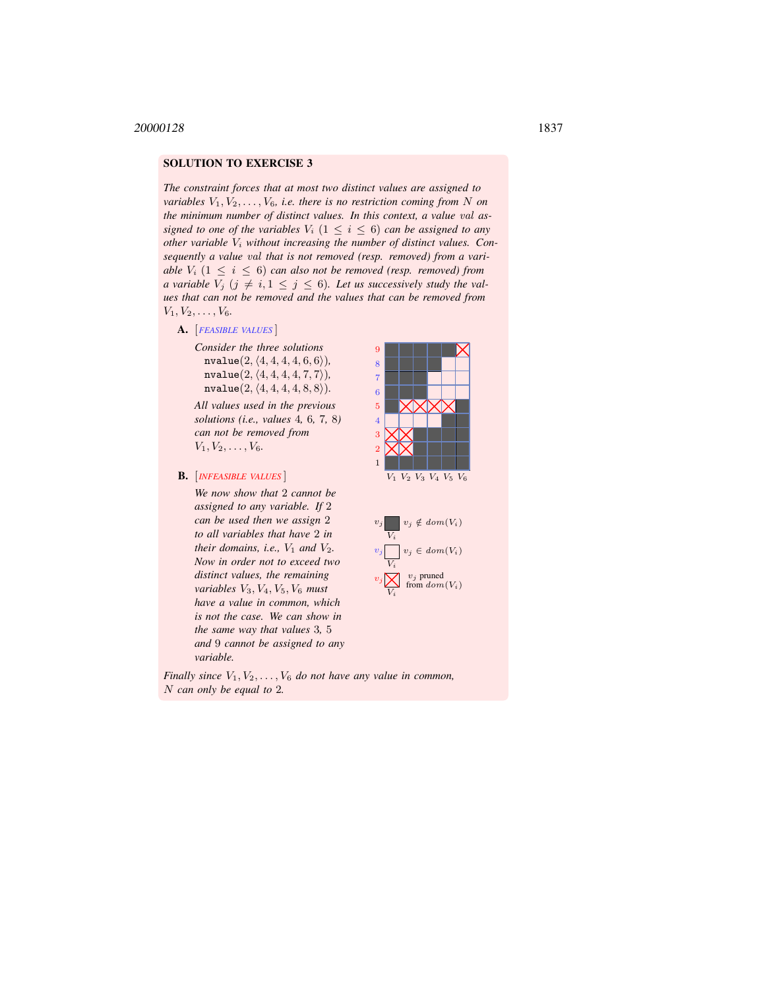*The constraint forces that at most two distinct values are assigned to variables*  $V_1, V_2, \ldots, V_6$ , *i.e. there is no restriction coming from* N *on the minimum number of distinct values. In this context, a value* val *assigned to one of the variables*  $V_i$  ( $1 \leq i \leq 6$ ) *can be assigned to any other variable* V<sup>i</sup> *without increasing the number of distinct values. Consequently a value* val *that is not removed (resp. removed) from a variable*  $V_i$   $(1 \le i \le 6)$  *can also not be removed (resp. removed) from a variable*  $V_j$  ( $j \neq i, 1 \leq j \leq 6$ ). Let us successively study the val*ues that can not be removed and the values that can be removed from*  $V_1, V_2, \ldots, V_6$ .

- A. [*FEASIBLE VALUES* ]
	- *Consider the three solutions*  $nvalue(2, \langle 4, 4, 4, 4, 6, 6 \rangle),$  $nvalue(2, \langle 4, 4, 4, 4, 7, 7 \rangle),$  $nvalue(2, (4, 4, 4, 4, 8, 8)).$

*All values used in the previous solutions (i.e., values* 4*,* 6*,* 7*,* 8*) can not be removed from*  $V_1, V_2, \ldots, V_6.$ 

B. [*INFEASIBLE VALUES* ]

*We now show that* 2 *cannot be assigned to any variable. If* 2 *can be used then we assign* 2 *to all variables that have* 2 *in their domains, i.e.,*  $V_1$  *and*  $V_2$ *. Now in order not to exceed two distinct values, the remaining variables* V3, V4, V5, V<sup>6</sup> *must have a value in common, which is not the case. We can show in the same way that values* 3*,* 5 *and* 9 *cannot be assigned to any variable.*





*Finally since*  $V_1, V_2, \ldots, V_6$  *do not have any value in common,* N *can only be equal to* 2*.*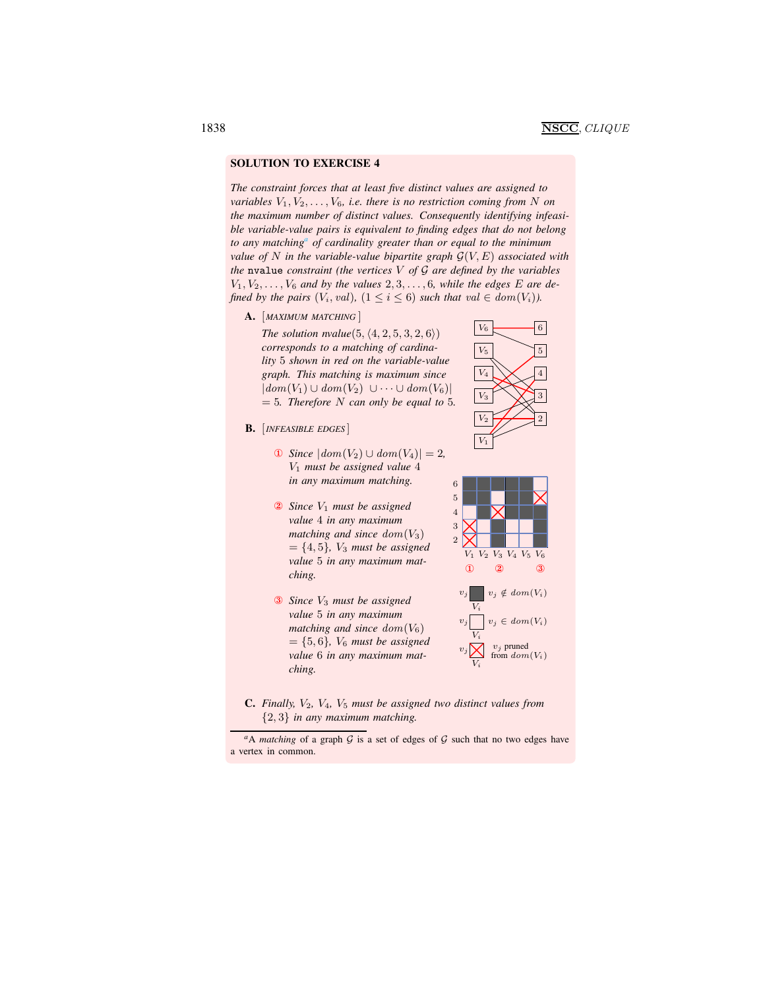*The constraint forces that at least five distinct values are assigned to variables*  $V_1, V_2, \ldots, V_6$ , *i.e. there is no restriction coming from* N *on the maximum number of distinct values. Consequently identifying infeasible variable-value pairs is equivalent to finding edges that do not belong to any matching[a](#page-12-0) of cardinality greater than or equal to the minimum value of* N *in the variable-value bipartite graph* G(V, E) *associated with the* nvalue *constraint (the vertices* V *of* G *are defined by the variables*  $V_1, V_2, \ldots, V_6$  and by the values  $2, 3, \ldots, 6$ , while the edges E are de*fined by the pairs*  $(V_i, val)$ ,  $(1 \leq i \leq 6)$  *such that*  $val \in dom(V_i)$ *)*.

A. [*MAXIMUM MATCHING* ]

*The solution nvalue* $(5, \langle 4, 2, 5, 3, 2, 6 \rangle)$ *corresponds to a matching of cardinality* 5 *shown in red on the variable-value graph. This matching is maximum since*  $|dom(V_1) \cup dom(V_2) \cup \cdots \cup dom(V_6)|$  $= 5$ *. Therefore* N *can only be equal to* 5*.* 

- B. [*INFEASIBLE EDGES* ]
	- ① *Since*  $|dom(V_2) \cup dom(V_4)| = 2$ , V<sup>1</sup> *must be assigned value* 4 *in any maximum matching.*
	- ② *Since* V<sup>1</sup> *must be assigned value* 4 *in any maximum matching and since dom* $(V_3)$  $= \{4, 5\}$ *, V<sub>3</sub> must be assigned value* 5 *in any maximum matching.*
	- ③ *Since* V<sup>3</sup> *must be assigned value* 5 *in any maximum matching and since* dom(V6)  $= \{5, 6\}$ *, V<sub>6</sub> must be assigned value* 6 *in any maximum matching.*







<span id="page-12-0"></span>C. *Finally,* V2*,* V4*,* V<sup>5</sup> *must be assigned two distinct values from* {2, 3} *in any maximum matching.*

 $a<sup>a</sup>A$  *matching* of a graph  $G$  is a set of edges of  $G$  such that no two edges have a vertex in common.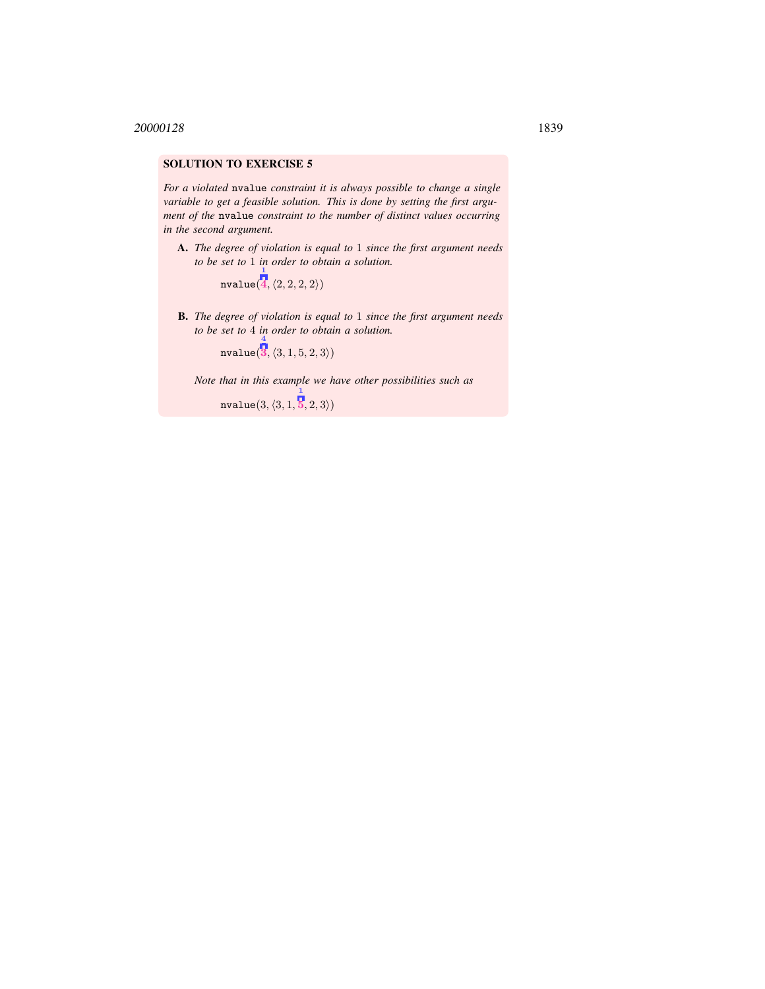*For a violated* nvalue *constraint it is always possible to change a single variable to get a feasible solution. This is done by setting the first argument of the* nvalue *constraint to the number of distinct values occurring in the second argument.*

A. *The degree of violation is equal to* 1 *since the first argument needs to be set to* 1 *in order to obtain a solution.*  $\mathbf{1}$ 

> nvalue(  $4, \langle 2, 2, 2, 2 \rangle$

B. *The degree of violation is equal to* 1 *since the first argument needs to be set to* 4 *in order to obtain a solution.* 4

 ${\tt nvalue(} \overline{\mathbf{3}}, \langle 3, 1, 5, 2, 3 \rangle)$ 

*Note that in this example we have other possibilities such as*

 ${\tt nvalue}(3,\langle 3, 1,$  $\vert 5,2,3\rangle$ )

1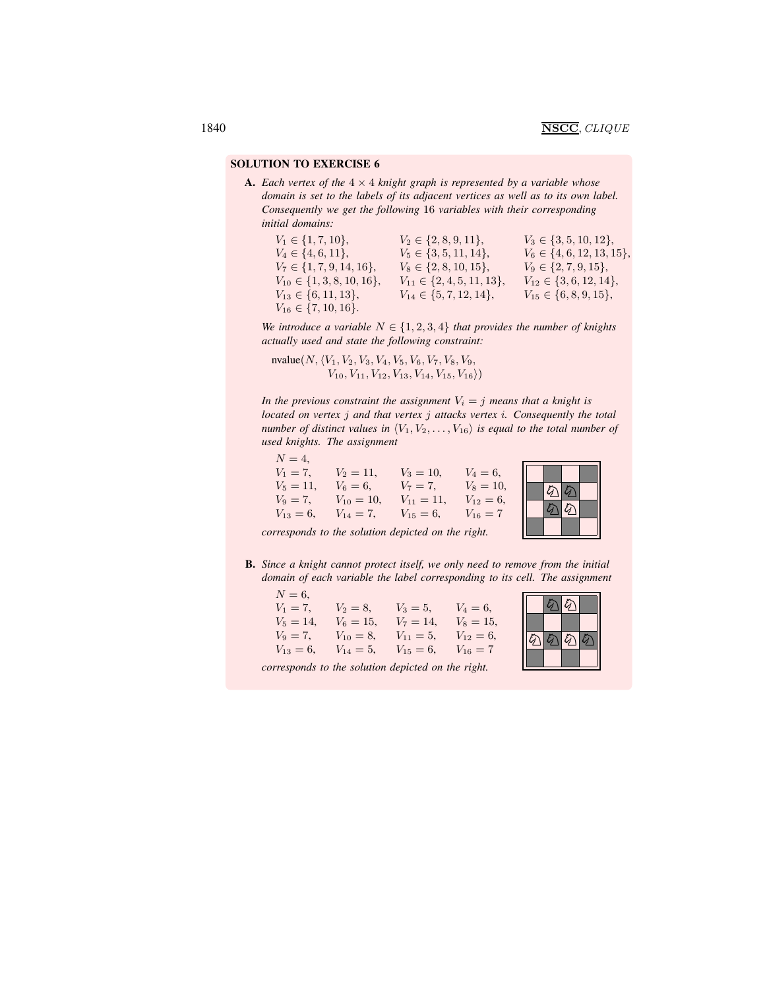**A.** *Each vertex of the*  $4 \times 4$  *knight graph is represented by a variable whose domain is set to the labels of its adjacent vertices as well as to its own label. Consequently we get the following* 16 *variables with their corresponding initial domains:*

 $V_1 \in \{1, 7, 10\},$   $V_2 \in \{2, 8, 9, 11\},$   $V_3 \in \{3, 5, 10, 12\},$  $V_4 \in \{4, 6, 11\}, \qquad V_5 \in \{3, 5, 11, 14\}, \qquad V_6 \in \{4, 6, 12, 13, 15\},\$  $V_7 \in \{1, 7, 9, 14, 16\}, \qquad V_8 \in \{2, 8, 10, 15\}, \qquad V_9 \in \{2, 7, 9, 15\},\$  $V_{10} \in \{1, 3, 8, 10, 16\}, \quad V_{11} \in \{2, 4, 5, 11, 13\}, \quad V_{12} \in \{3, 6, 12, 14\},\$  $V_{13} \in \{6, 11, 13\}, \qquad V_{14} \in \{5, 7, 12, 14\}, \qquad V_{15} \in \{6, 8, 9, 15\},\$  $V_{16} \in \{7, 10, 16\}.$ 

*We introduce a variable*  $N \in \{1, 2, 3, 4\}$  *that provides the number of knights actually used and state the following constraint:*

nvalue $(N, \langle V_1, V_2, V_3, V_4, V_5, V_6, V_7, V_8, V_9,$  $V_{10}, V_{11}, V_{12}, V_{13}, V_{14}, V_{15}, V_{16}$ 

*In the previous constraint the assignment*  $V_i = j$  *means that a knight is located on vertex* j *and that vertex* j *attacks vertex* i*. Consequently the total number of distinct values in*  $\langle V_1, V_2, \ldots, V_{16} \rangle$  *is equal to the total number of used knights. The assignment*

 $N = 4$ ,  $V_1 = 7$ ,  $V_2 = 11$ ,  $V_3 = 10$ ,  $V_4 = 6$ ,<br>  $V_5 = 11$ ,  $V_6 = 6$ ,  $V_7 = 7$ ,  $V_8 = 10$ ,  $V_5 = 11, \quad V_6 = 6, \quad V_7 = 7,$  $V_9 = 7$ ,  $V_{10} = 10$ ,  $V_{11} = 11$ ,  $V_{12} = 6$ ,<br>  $V_{13} = 6$ ,  $V_{14} = 7$ ,  $V_{15} = 6$ ,  $V_{16} = 7$  $V_{13} = 6$ ,  $V_{14} = 7$ ,  $V_{15} = 6$ ,  $V_{16} = 7$ 



*corresponds to the solution depicted on the right.*

B. *Since a knight cannot protect itself, we only need to remove from the initial domain of each variable the label corresponding to its cell. The assignment*

 $N = 6$ ,  $V_1 = 7$ ,  $V_2 = 8$ ,  $V_3 = 5$ ,  $V_4 = 6$ ,  $V_5 = 14$ ,  $V_6 = 15$ ,  $V_7 = 14$ ,  $V_8 = 15$ ,  $V_9 = 7$ ,  $V_{10} = 8$ ,  $V_{11} = 5$ ,  $V_{12} = 6$ ,  $V_{13} = 6$ ,  $V_{14} = 5$ ,  $V_{15} = 6$ ,  $V_{16} = 7$ 



*corresponds to the solution depicted on the right.*